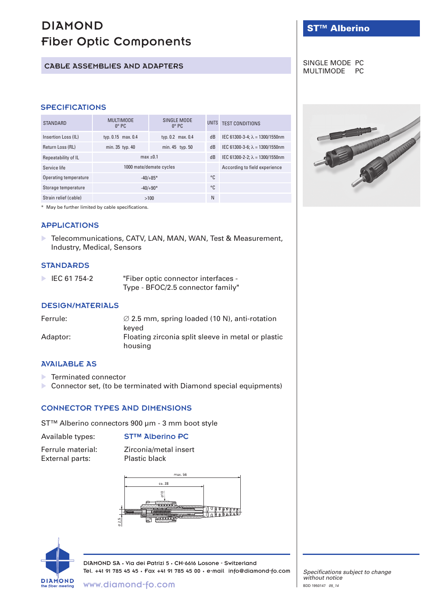# DIAMOND Fiber Optic Components

# CABLE ASSEMBLIES AND ADAPTERS

## **SPECIFICATIONS**

| <b>STANDARD</b>       | <b>MULTIMODE</b><br>$0^\circ$ PC | SINGLE MODE<br>$0^\circ$ PC | UNITS | <b>TEST CONDITIONS</b>                  |
|-----------------------|----------------------------------|-----------------------------|-------|-----------------------------------------|
| Insertion Loss (IL)   | typ. 0.15 max. 0.4               | typ. 0.2 max. 0.4           | dB    | IEC 61300-3-4; $\lambda$ = 1300/1550nm  |
| Return Loss (RL)      | min. 35 typ. 40                  | min. 45 typ. 50             | dB    | IEC 61300-3-6: $\lambda$ = 1300/1550nm  |
| Repeatability of IL   | $max +0.1$                       |                             | dB    | IEC 61300-2-2; $\lambda = 1300/1550$ nm |
| Service life          | 1000 mate/demate cycles          |                             |       | According to field experience           |
| Operating temperature | $-40/+85*$                       |                             | °C    |                                         |
| Storage temperature   | $-40/+90*$                       |                             | °C    |                                         |
| Strain relief (cable) | >100                             |                             | N     |                                         |

\* May be further limited by cable specifications.

## APPLICATIONS

▶ Telecommunications, CATV, LAN, MAN, WAN, Test & Measurement, Industry, Medical, Sensors

## **STANDARDS**

| IEC 61 754-2 | "Fiber optic connector interfaces - |
|--------------|-------------------------------------|
|              | Type - BFOC/2.5 connector family"   |

#### DESIGN/MATERIALS

| Ferrule: | $\varnothing$ 2.5 mm, spring loaded (10 N), anti-rotation |
|----------|-----------------------------------------------------------|
|          | keved                                                     |
| Adaptor: | Floating zirconia split sleeve in metal or plastic        |
|          | housing                                                   |

## AVAILABLE AS

- ▶ Terminated connector
- **Connector set, (to be terminated with Diamond special equipments)**

# CONNECTOR TYPES AND DIMENSIONS

ST™ Alberino connectors 900 µm - 3 mm boot style

#### Available types: ST™ Alberino PC

| Ferrule material: | Zirconia/metal insert |
|-------------------|-----------------------|
| External parts:   | <b>Plastic black</b>  |





DIAMOND SA • Via dei Patrizi 5 • CH-6616 Losone - Switzerland Tel. +41 91 785 45 45 • Fax +41 91 785 45 00 • e-mail info@diamond-fo.com

## SINGLE MODE PC MULTIMODE PC



*Specifications subject to change without notice* BDD 1950147 *05\_14*